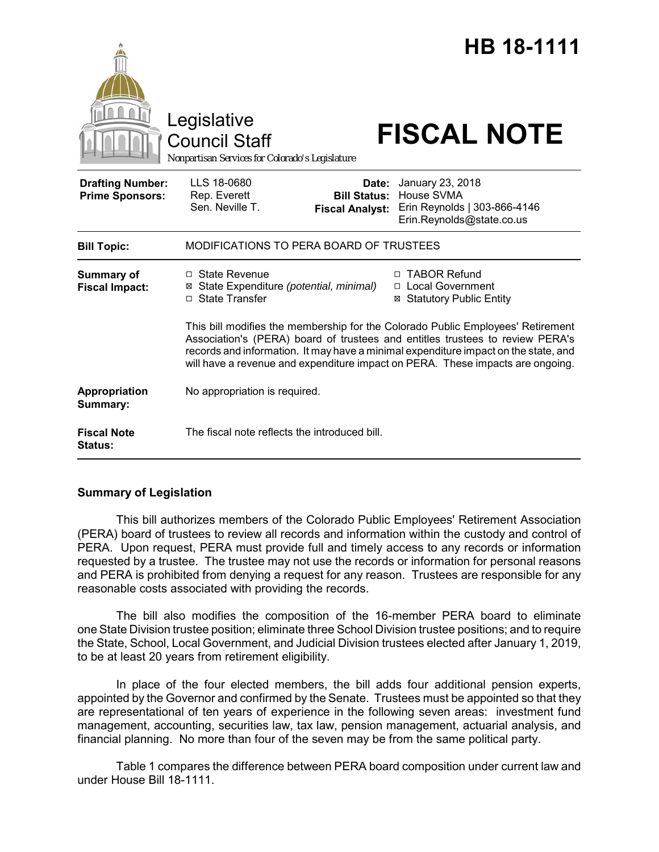|                                                   | Legislative<br><b>Council Staff</b><br>Nonpartisan Services for Colorado's Legislature                                                                                                                                                                                                                                                    |                                                        | HB 18-1111<br><b>FISCAL NOTE</b>                                                                   |  |
|---------------------------------------------------|-------------------------------------------------------------------------------------------------------------------------------------------------------------------------------------------------------------------------------------------------------------------------------------------------------------------------------------------|--------------------------------------------------------|----------------------------------------------------------------------------------------------------|--|
| <b>Drafting Number:</b><br><b>Prime Sponsors:</b> | LLS 18-0680<br>Rep. Everett<br>Sen. Neville T.                                                                                                                                                                                                                                                                                            | Date:<br><b>Bill Status:</b><br><b>Fiscal Analyst:</b> | January 23, 2018<br><b>House SVMA</b><br>Erin Reynolds   303-866-4146<br>Erin.Reynolds@state.co.us |  |
| <b>Bill Topic:</b>                                | MODIFICATIONS TO PERA BOARD OF TRUSTEES                                                                                                                                                                                                                                                                                                   |                                                        |                                                                                                    |  |
| <b>Summary of</b><br><b>Fiscal Impact:</b>        | $\Box$ State Revenue<br>⊠ State Expenditure (potential, minimal)<br>□ State Transfer                                                                                                                                                                                                                                                      |                                                        | <b>TABOR Refund</b><br>$\Box$<br>□ Local Government<br><b>Statutory Public Entity</b>              |  |
|                                                   | This bill modifies the membership for the Colorado Public Employees' Retirement<br>Association's (PERA) board of trustees and entitles trustees to review PERA's<br>records and information. It may have a minimal expenditure impact on the state, and<br>will have a revenue and expenditure impact on PERA. These impacts are ongoing. |                                                        |                                                                                                    |  |
| Appropriation<br>Summary:                         | No appropriation is required.                                                                                                                                                                                                                                                                                                             |                                                        |                                                                                                    |  |
| <b>Fiscal Note</b><br><b>Status:</b>              | The fiscal note reflects the introduced bill.                                                                                                                                                                                                                                                                                             |                                                        |                                                                                                    |  |

#### **Summary of Legislation**

This bill authorizes members of the Colorado Public Employees' Retirement Association (PERA) board of trustees to review all records and information within the custody and control of PERA. Upon request, PERA must provide full and timely access to any records or information requested by a trustee. The trustee may not use the records or information for personal reasons and PERA is prohibited from denying a request for any reason. Trustees are responsible for any reasonable costs associated with providing the records.

The bill also modifies the composition of the 16-member PERA board to eliminate one State Division trustee position; eliminate three School Division trustee positions; and to require the State, School, Local Government, and Judicial Division trustees elected after January 1, 2019, to be at least 20 years from retirement eligibility.

In place of the four elected members, the bill adds four additional pension experts, appointed by the Governor and confirmed by the Senate. Trustees must be appointed so that they are representational of ten years of experience in the following seven areas: investment fund management, accounting, securities law, tax law, pension management, actuarial analysis, and financial planning. No more than four of the seven may be from the same political party.

Table 1 compares the difference between PERA board composition under current law and under House Bill 18-1111.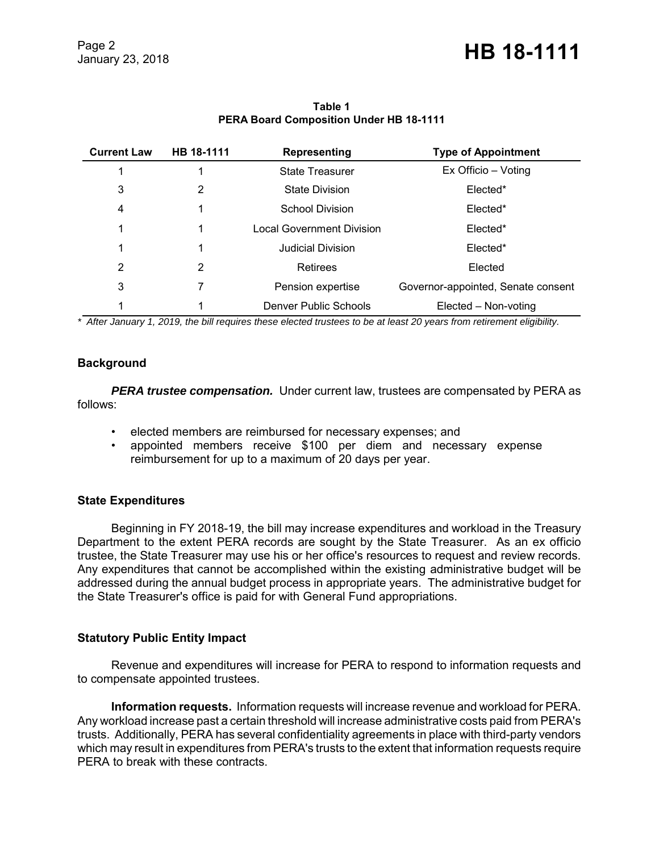| <b>Current Law</b> | HB 18-1111 | <b>Representing</b>              | <b>Type of Appointment</b>         |
|--------------------|------------|----------------------------------|------------------------------------|
|                    |            | State Treasurer                  | Ex Officio – Voting                |
| 3                  | 2          | <b>State Division</b>            | Elected*                           |
| 4                  |            | School Division                  | Elected*                           |
|                    |            | <b>Local Government Division</b> | Elected*                           |
|                    |            | Judicial Division                | Elected*                           |
| 2                  | 2          | Retirees                         | Elected                            |
| 3                  |            | Pension expertise                | Governor-appointed, Senate consent |
|                    |            | Denver Public Schools            | Elected – Non-voting               |

## **Table 1 PERA Board Composition Under HB 18-1111**

*\* After January 1, 2019, the bill requires these elected trustees to be at least 20 years from retirement eligibility.*

# **Background**

**PERA trustee compensation.** Under current law, trustees are compensated by PERA as follows:

- elected members are reimbursed for necessary expenses; and
- appointed members receive \$100 per diem and necessary expense reimbursement for up to a maximum of 20 days per year.

#### **State Expenditures**

Beginning in FY 2018-19, the bill may increase expenditures and workload in the Treasury Department to the extent PERA records are sought by the State Treasurer. As an ex officio trustee, the State Treasurer may use his or her office's resources to request and review records. Any expenditures that cannot be accomplished within the existing administrative budget will be addressed during the annual budget process in appropriate years. The administrative budget for the State Treasurer's office is paid for with General Fund appropriations.

# **Statutory Public Entity Impact**

Revenue and expenditures will increase for PERA to respond to information requests and to compensate appointed trustees.

**Information requests.** Information requests will increase revenue and workload for PERA. Any workload increase past a certain threshold will increase administrative costs paid from PERA's trusts. Additionally, PERA has several confidentiality agreements in place with third-party vendors which may result in expenditures from PERA's trusts to the extent that information requests require PERA to break with these contracts.